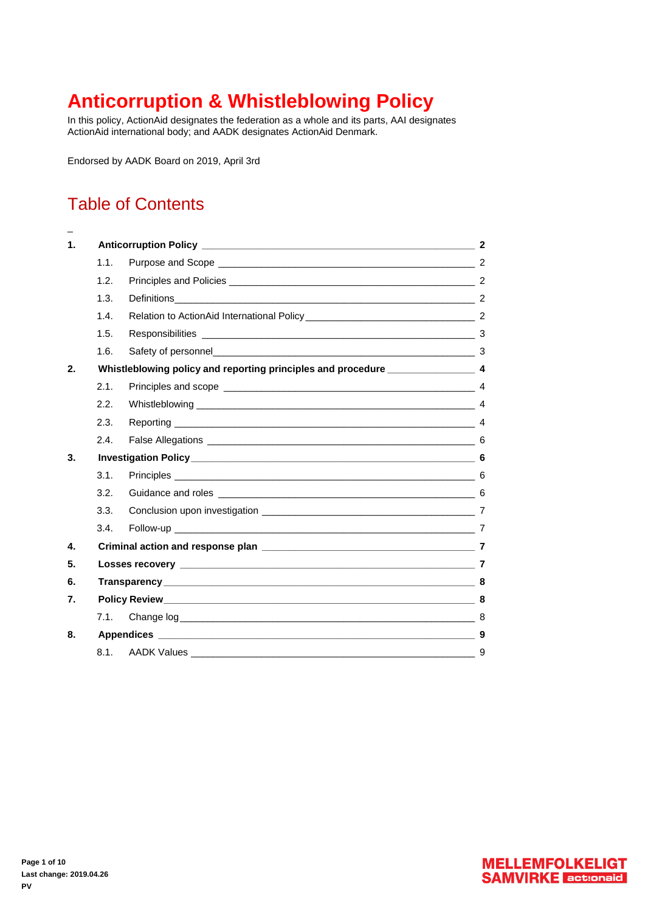# <span id="page-0-0"></span>**Anticorruption & Whistleblowing Policy**

In this policy, ActionAid designates the federation as a whole and its parts, AAI designates ActionAid international body; and AADK designates ActionAid Denmark.

Endorsed by AADK Board on 2019, April 3rd

## Table of Contents

[\\_](#page-0-0)

| $\mathbf 1$ . |                                                                                     |                |    |
|---------------|-------------------------------------------------------------------------------------|----------------|----|
|               | 1.1.                                                                                |                |    |
|               | 1.2.                                                                                |                |    |
|               | 1.3.                                                                                |                |    |
|               | 1.4.                                                                                |                |    |
|               | 1.5.                                                                                |                |    |
|               | 1.6.                                                                                |                |    |
| 2.            | Whistleblowing policy and reporting principles and procedure ____________________ 4 |                |    |
|               | 2.1.                                                                                |                |    |
|               | 2.2.                                                                                |                |    |
|               | 2.3.                                                                                |                |    |
|               | 2.4.                                                                                |                |    |
| 3.            |                                                                                     |                |    |
|               | 3.1.                                                                                |                |    |
|               | 3.2.                                                                                |                |    |
|               | 3.3.                                                                                |                |    |
|               | 3.4.                                                                                |                |    |
| 4.            |                                                                                     |                |    |
| 5.            |                                                                                     |                |    |
| 6.            |                                                                                     | Transparency 8 |    |
| 7.            |                                                                                     |                |    |
|               | 7.1.                                                                                |                |    |
| 8.            |                                                                                     |                |    |
|               | 8.1.                                                                                |                | -9 |



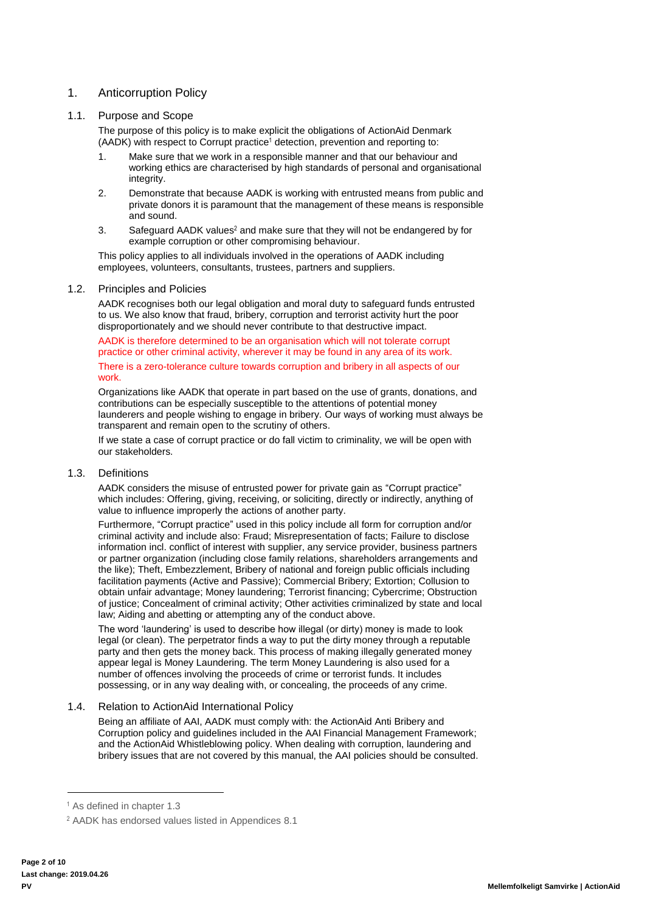## <span id="page-1-0"></span>1. Anticorruption Policy

## <span id="page-1-1"></span>1.1. Purpose and Scope

The purpose of this policy is to make explicit the obligations of ActionAid Denmark (AADK) with respect to Corrupt practice<sup>1</sup> detection, prevention and reporting to:

- 1. Make sure that we work in a responsible manner and that our behaviour and working ethics are characterised by high standards of personal and organisational integrity.
- 2. Demonstrate that because AADK is working with entrusted means from public and private donors it is paramount that the management of these means is responsible and sound.
- 3. Safeguard AADK values<sup>2</sup> and make sure that they will not be endangered by for example corruption or other compromising behaviour.

This policy applies to all individuals involved in the operations of AADK including employees, volunteers, consultants, trustees, partners and suppliers.

## <span id="page-1-2"></span>1.2. Principles and Policies

AADK recognises both our legal obligation and moral duty to safeguard funds entrusted to us. We also know that fraud, bribery, corruption and terrorist activity hurt the poor disproportionately and we should never contribute to that destructive impact.

AADK is therefore determined to be an organisation which will not tolerate corrupt practice or other criminal activity, wherever it may be found in any area of its work. There is a zero-tolerance culture towards corruption and bribery in all aspects of our work.

Organizations like AADK that operate in part based on the use of grants, donations, and contributions can be especially susceptible to the attentions of potential money launderers and people wishing to engage in bribery. Our ways of working must always be transparent and remain open to the scrutiny of others.

If we state a case of corrupt practice or do fall victim to criminality, we will be open with our stakeholders.

## <span id="page-1-3"></span>1.3. Definitions

AADK considers the misuse of entrusted power for private gain as "Corrupt practice" which includes: Offering, giving, receiving, or soliciting, directly or indirectly, anything of value to influence improperly the actions of another party.

Furthermore, "Corrupt practice" used in this policy include all form for corruption and/or criminal activity and include also: Fraud; Misrepresentation of facts; Failure to disclose information incl. conflict of interest with supplier, any service provider, business partners or partner organization (including close family relations, shareholders arrangements and the like); Theft, Embezzlement, Bribery of national and foreign public officials including facilitation payments (Active and Passive); Commercial Bribery; Extortion; Collusion to obtain unfair advantage; Money laundering; Terrorist financing; Cybercrime; Obstruction of justice; Concealment of criminal activity; Other activities criminalized by state and local law; Aiding and abetting or attempting any of the conduct above.

The word 'laundering' is used to describe how illegal (or dirty) money is made to look legal (or clean). The perpetrator finds a way to put the dirty money through a reputable party and then gets the money back. This process of making illegally generated money appear legal is Money Laundering. The term Money Laundering is also used for a number of offences involving the proceeds of crime or terrorist funds. It includes possessing, or in any way dealing with, or concealing, the proceeds of any crime.

## <span id="page-1-4"></span>1.4. Relation to ActionAid International Policy

Being an affiliate of AAI, AADK must comply with: the ActionAid Anti Bribery and Corruption policy and guidelines included in the AAI Financial Management Framework; and the ActionAid Whistleblowing policy. When dealing with corruption, laundering and bribery issues that are not covered by this manual, the AAI policies should be consulted.

 $\overline{a}$ 

<sup>1</sup> As defined in chapter [1.3](#page-1-3)

<sup>2</sup> AADK has endorsed values listed in Appendices [8.1](#page-8-0)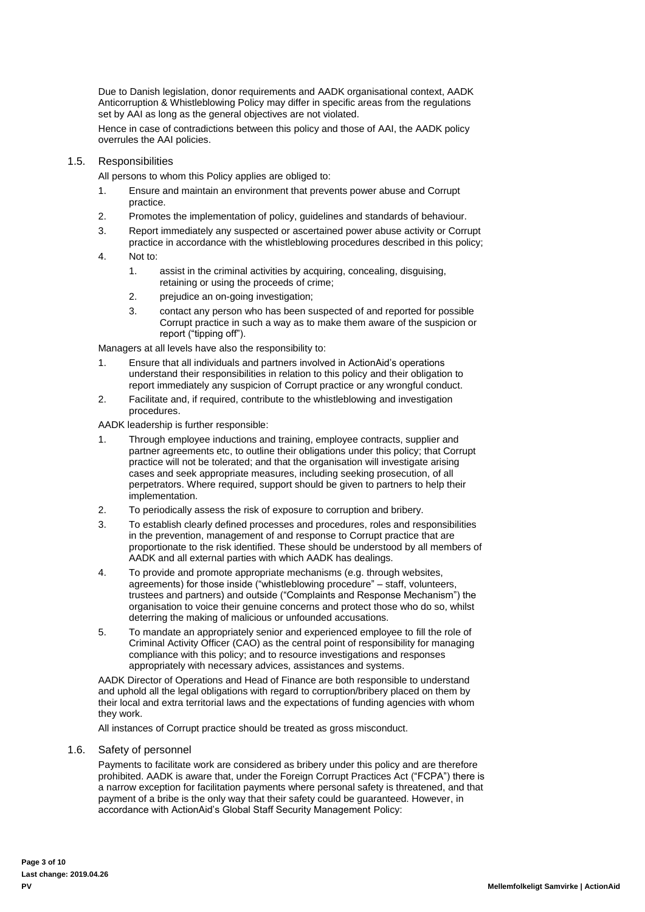Due to Danish legislation, donor requirements and AADK organisational context, AADK Anticorruption & Whistleblowing Policy may differ in specific areas from the regulations set by AAI as long as the general objectives are not violated.

Hence in case of contradictions between this policy and those of AAI, the AADK policy overrules the AAI policies.

#### <span id="page-2-0"></span>1.5. Responsibilities

All persons to whom this Policy applies are obliged to:

- 1. Ensure and maintain an environment that prevents power abuse and Corrupt practice.
- 2. Promotes the implementation of policy, guidelines and standards of behaviour.
- 3. Report immediately any suspected or ascertained power abuse activity or Corrupt practice in accordance with the whistleblowing procedures described in this policy;
- 4. Not to:
	- 1. assist in the criminal activities by acquiring, concealing, disguising, retaining or using the proceeds of crime;
	- 2. prejudice an on-going investigation;
	- 3. contact any person who has been suspected of and reported for possible Corrupt practice in such a way as to make them aware of the suspicion or report ("tipping off").

Managers at all levels have also the responsibility to:

- 1. Ensure that all individuals and partners involved in ActionAid's operations understand their responsibilities in relation to this policy and their obligation to report immediately any suspicion of Corrupt practice or any wrongful conduct.
- 2. Facilitate and, if required, contribute to the whistleblowing and investigation procedures.

AADK leadership is further responsible:

- 1. Through employee inductions and training, employee contracts, supplier and partner agreements etc, to outline their obligations under this policy; that Corrupt practice will not be tolerated; and that the organisation will investigate arising cases and seek appropriate measures, including seeking prosecution, of all perpetrators. Where required, support should be given to partners to help their implementation.
- 2. To periodically assess the risk of exposure to corruption and bribery.
- 3. To establish clearly defined processes and procedures, roles and responsibilities in the prevention, management of and response to Corrupt practice that are proportionate to the risk identified. These should be understood by all members of AADK and all external parties with which AADK has dealings.
- 4. To provide and promote appropriate mechanisms (e.g. through websites, agreements) for those inside ("whistleblowing procedure" – staff, volunteers, trustees and partners) and outside ("Complaints and Response Mechanism") the organisation to voice their genuine concerns and protect those who do so, whilst deterring the making of malicious or unfounded accusations.
- 5. To mandate an appropriately senior and experienced employee to fill the role of Criminal Activity Officer (CAO) as the central point of responsibility for managing compliance with this policy; and to resource investigations and responses appropriately with necessary advices, assistances and systems.

AADK Director of Operations and Head of Finance are both responsible to understand and uphold all the legal obligations with regard to corruption/bribery placed on them by their local and extra territorial laws and the expectations of funding agencies with whom they work.

All instances of Corrupt practice should be treated as gross misconduct.

## <span id="page-2-1"></span>1.6. Safety of personnel

Payments to facilitate work are considered as bribery under this policy and are therefore prohibited. AADK is aware that, under the Foreign Corrupt Practices Act ("FCPA") there is a narrow exception for facilitation payments where personal safety is threatened, and that payment of a bribe is the only way that their safety could be guaranteed. However, in accordance with ActionAid's Global Staff Security Management Policy: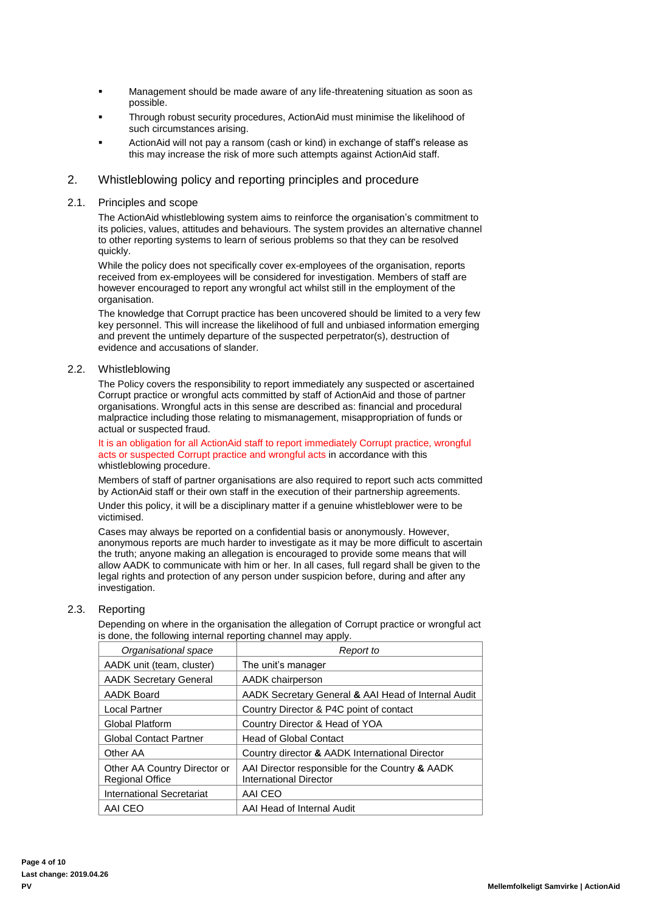- Management should be made aware of any life-threatening situation as soon as possible.
- Through robust security procedures, ActionAid must minimise the likelihood of such circumstances arising.
- ActionAid will not pay a ransom (cash or kind) in exchange of staff's release as this may increase the risk of more such attempts against ActionAid staff.

## <span id="page-3-0"></span>2. Whistleblowing policy and reporting principles and procedure

#### <span id="page-3-1"></span>2.1. Principles and scope

The ActionAid whistleblowing system aims to reinforce the organisation's commitment to its policies, values, attitudes and behaviours. The system provides an alternative channel to other reporting systems to learn of serious problems so that they can be resolved quickly.

While the policy does not specifically cover ex-employees of the organisation, reports received from ex-employees will be considered for investigation. Members of staff are however encouraged to report any wrongful act whilst still in the employment of the organisation.

The knowledge that Corrupt practice has been uncovered should be limited to a very few key personnel. This will increase the likelihood of full and unbiased information emerging and prevent the untimely departure of the suspected perpetrator(s), destruction of evidence and accusations of slander.

#### <span id="page-3-2"></span>2.2. Whistleblowing

The Policy covers the responsibility to report immediately any suspected or ascertained Corrupt practice or wrongful acts committed by staff of ActionAid and those of partner organisations. Wrongful acts in this sense are described as: financial and procedural malpractice including those relating to mismanagement, misappropriation of funds or actual or suspected fraud.

It is an obligation for all ActionAid staff to report immediately Corrupt practice, wrongful acts or suspected Corrupt practice and wrongful acts in accordance with this whistleblowing procedure.

Members of staff of partner organisations are also required to report such acts committed by ActionAid staff or their own staff in the execution of their partnership agreements.

Under this policy, it will be a disciplinary matter if a genuine whistleblower were to be victimised.

Cases may always be reported on a confidential basis or anonymously. However, anonymous reports are much harder to investigate as it may be more difficult to ascertain the truth; anyone making an allegation is encouraged to provide some means that will allow AADK to communicate with him or her. In all cases, full regard shall be given to the legal rights and protection of any person under suspicion before, during and after any investigation.

#### <span id="page-3-3"></span>2.3. Reporting

Depending on where in the organisation the allegation of Corrupt practice or wrongful act is done, the following internal reporting channel may apply.

| Organisational space                                   | Report to                                                                 |  |
|--------------------------------------------------------|---------------------------------------------------------------------------|--|
| AADK unit (team, cluster)                              | The unit's manager                                                        |  |
| <b>AADK Secretary General</b>                          | AADK chairperson                                                          |  |
| <b>AADK Board</b>                                      | AADK Secretary General & AAI Head of Internal Audit                       |  |
| Local Partner                                          | Country Director & P4C point of contact                                   |  |
| Global Platform                                        | Country Director & Head of YOA                                            |  |
| <b>Global Contact Partner</b>                          | Head of Global Contact                                                    |  |
| Other AA                                               | Country director & AADK International Director                            |  |
| Other AA Country Director or<br><b>Regional Office</b> | AAI Director responsible for the Country & AADK<br>International Director |  |
| International Secretariat                              | AAI CEO                                                                   |  |
| AAI CEO                                                | AAI Head of Internal Audit                                                |  |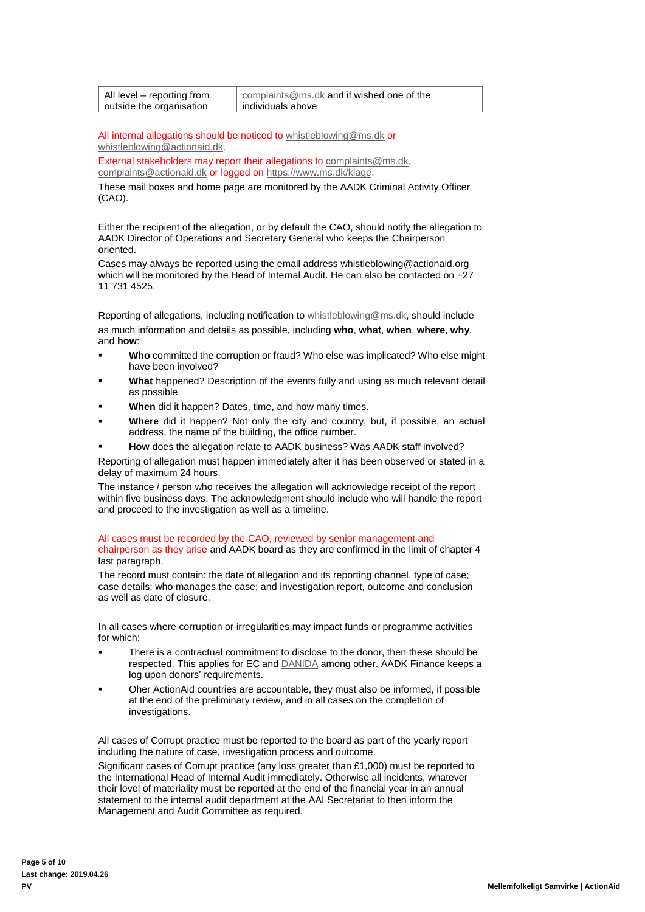| All level – reporting from | complaints@ms.dk and if wished one of the |
|----------------------------|-------------------------------------------|
| outside the organisation   | l individuals above                       |

All internal allegations should be noticed to [whistleblowing@ms.dk](mailto:whistleblowing@ms.dk) or [whistleblowing@actionaid.dk.](mailto:whistleblowing@actionaid.dk)

External stakeholders may report their allegations to [complaints@ms.dk,](mailto:complaints@ms.dk) [complaints@actionaid.dk](mailto:complaints@actionaid.dk) or logged on https://www.ms.dk/klage

These mail boxes and home page are monitored by the AADK Criminal Activity Officer (CAO).

Either the recipient of the allegation, or by default the CAO, should notify the allegation to AADK Director of Operations and Secretary General who keeps the Chairperson oriented.

Cases may always be reported using the email address whistleblowing@actionaid.org which will be monitored by the Head of Internal Audit. He can also be contacted on +27 11 731 4525.

Reporting of allegations, including notification to [whistleblowing@ms.dk,](mailto:whistleblowing@ms.dk) should include as much information and details as possible, including **who**, **what**, **when**, **where**, **why**, and **how**:

- **Who** committed the corruption or fraud? Who else was implicated? Who else might have been involved?
- What happened? Description of the events fully and using as much relevant detail as possible.
- **When** did it happen? Dates, time, and how many times.
- Where did it happen? Not only the city and country, but, if possible, an actual address, the name of the building, the office number.
- How does the allegation relate to AADK business? Was AADK staff involved?

Reporting of allegation must happen immediately after it has been observed or stated in a delay of maximum 24 hours.

The instance / person who receives the allegation will acknowledge receipt of the report within five business days. The acknowledgment should include who will handle the report and proceed to the investigation as well as a timeline.

#### All cases must be recorded by the CAO, reviewed by senior management and chairperson as they arise and AADK board as they are confirmed in the limit of chapte[r 4](#page-3-2)

last paragraph. The record must contain: the date of allegation and its reporting channel, type of case;

case details; who manages the case; and investigation report, outcome and conclusion as well as date of closure.

In all cases where corruption or irregularities may impact funds or programme activities for which:

- There is a contractual commitment to disclose to the donor, then these should be respected. This applies for EC an[d DANIDA](http://um.dk/da/danida/samarbejspartnere/civ-org/adm-ret/strategiske-partnere/) among other. AADK Finance keeps a log upon donors' requirements.
- Oher ActionAid countries are accountable, they must also be informed, if possible at the end of the preliminary review, and in all cases on the completion of investigations.

All cases of Corrupt practice must be reported to the board as part of the yearly report including the nature of case, investigation process and outcome.

Significant cases of Corrupt practice (any loss greater than £1,000) must be reported to the International Head of Internal Audit immediately. Otherwise all incidents, whatever their level of materiality must be reported at the end of the financial year in an annual statement to the internal audit department at the AAI Secretariat to then inform the Management and Audit Committee as required.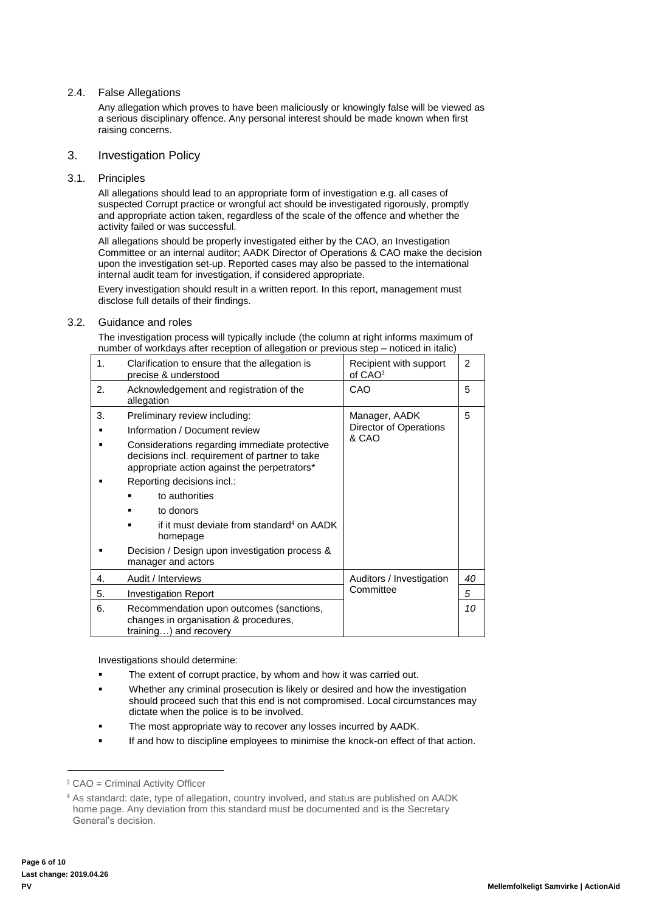## <span id="page-5-0"></span>2.4. False Allegations

Any allegation which proves to have been maliciously or knowingly false will be viewed as a serious disciplinary offence. Any personal interest should be made known when first raising concerns.

#### <span id="page-5-1"></span>3. Investigation Policy

#### <span id="page-5-2"></span>3.1. Principles

All allegations should lead to an appropriate form of investigation e.g. all cases of suspected Corrupt practice or wrongful act should be investigated rigorously, promptly and appropriate action taken, regardless of the scale of the offence and whether the activity failed or was successful.

All allegations should be properly investigated either by the CAO, an Investigation Committee or an internal auditor; AADK Director of Operations & CAO make the decision upon the investigation set-up. Reported cases may also be passed to the international internal audit team for investigation, if considered appropriate.

Every investigation should result in a written report. In this report, management must disclose full details of their findings.

#### <span id="page-5-3"></span>3.2. Guidance and roles

The investigation process will typically include (the column at right informs maximum of number of workdays after reception of allegation or previous step – noticed in italic)

| 1. | Clarification to ensure that the allegation is<br>precise & understood                                                                                                                                                                                                                                                                                                                                                      | Recipient with support<br>of CAO <sub>3</sub>    | $\overline{2}$ |
|----|-----------------------------------------------------------------------------------------------------------------------------------------------------------------------------------------------------------------------------------------------------------------------------------------------------------------------------------------------------------------------------------------------------------------------------|--------------------------------------------------|----------------|
| 2. | Acknowledgement and registration of the<br>allegation                                                                                                                                                                                                                                                                                                                                                                       | CAO                                              | 5              |
| 3. | Preliminary review including:<br>Information / Document review<br>Considerations regarding immediate protective<br>decisions incl. requirement of partner to take<br>appropriate action against the perpetrators*<br>Reporting decisions incl.:<br>to authorities<br>to donors<br>if it must deviate from standard <sup>4</sup> on AADK<br>homepage<br>Decision / Design upon investigation process &<br>manager and actors | Manager, AADK<br>Director of Operations<br>& CAO | 5              |
| 4. | Audit / Interviews                                                                                                                                                                                                                                                                                                                                                                                                          | Auditors / Investigation                         | 40             |
| 5. | Committee<br><b>Investigation Report</b>                                                                                                                                                                                                                                                                                                                                                                                    |                                                  | 5              |
| 6. | Recommendation upon outcomes (sanctions,<br>changes in organisation & procedures,<br>training) and recovery                                                                                                                                                                                                                                                                                                                 |                                                  | 10             |

Investigations should determine:

- The extent of corrupt practice, by whom and how it was carried out.
- Whether any criminal prosecution is likely or desired and how the investigation should proceed such that this end is not compromised. Local circumstances may dictate when the police is to be involved.
- The most appropriate way to recover any losses incurred by AADK.
- If and how to discipline employees to minimise the knock-on effect of that action.

 $\overline{a}$ 

<sup>3</sup> CAO = Criminal Activity Officer

<sup>4</sup> As standard: date, type of allegation, country involved, and status are published on AADK home page. Any deviation from this standard must be documented and is the Secretary General's decision.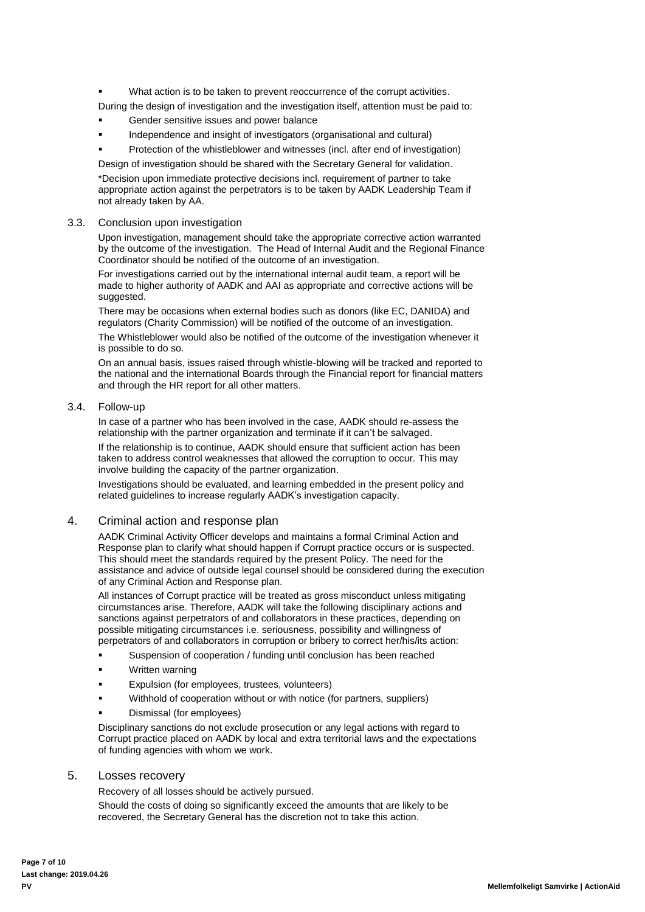- What action is to be taken to prevent reoccurrence of the corrupt activities.
- During the design of investigation and the investigation itself, attention must be paid to:
- Gender sensitive issues and power balance
- Independence and insight of investigators (organisational and cultural)
- Protection of the whistleblower and witnesses (incl. after end of investigation)
- Design of investigation should be shared with the Secretary General for validation.

\*Decision upon immediate protective decisions incl. requirement of partner to take appropriate action against the perpetrators is to be taken by AADK Leadership Team if not already taken by AA.

#### <span id="page-6-0"></span>3.3. Conclusion upon investigation

Upon investigation, management should take the appropriate corrective action warranted by the outcome of the investigation. The Head of Internal Audit and the Regional Finance Coordinator should be notified of the outcome of an investigation.

For investigations carried out by the international internal audit team, a report will be made to higher authority of AADK and AAI as appropriate and corrective actions will be suggested.

There may be occasions when external bodies such as donors (like EC, DANIDA) and regulators (Charity Commission) will be notified of the outcome of an investigation.

The Whistleblower would also be notified of the outcome of the investigation whenever it is possible to do so.

On an annual basis, issues raised through whistle-blowing will be tracked and reported to the national and the international Boards through the Financial report for financial matters and through the HR report for all other matters.

#### <span id="page-6-1"></span>3.4. Follow-up

In case of a partner who has been involved in the case, AADK should re-assess the relationship with the partner organization and terminate if it can't be salvaged.

If the relationship is to continue, AADK should ensure that sufficient action has been taken to address control weaknesses that allowed the corruption to occur. This may involve building the capacity of the partner organization.

Investigations should be evaluated, and learning embedded in the present policy and related guidelines to increase regularly AADK's investigation capacity.

## <span id="page-6-2"></span>4. Criminal action and response plan

AADK Criminal Activity Officer develops and maintains a formal Criminal Action and Response plan to clarify what should happen if Corrupt practice occurs or is suspected. This should meet the standards required by the present Policy. The need for the assistance and advice of outside legal counsel should be considered during the execution of any Criminal Action and Response plan.

All instances of Corrupt practice will be treated as gross misconduct unless mitigating circumstances arise. Therefore, AADK will take the following disciplinary actions and sanctions against perpetrators of and collaborators in these practices, depending on possible mitigating circumstances i.e. seriousness, possibility and willingness of perpetrators of and collaborators in corruption or bribery to correct her/his/its action:

- Suspension of cooperation / funding until conclusion has been reached
- Written warning
- Expulsion (for employees, trustees, volunteers)
- Withhold of cooperation without or with notice (for partners, suppliers)
- Dismissal (for employees)

Disciplinary sanctions do not exclude prosecution or any legal actions with regard to Corrupt practice placed on AADK by local and extra territorial laws and the expectations of funding agencies with whom we work.

#### <span id="page-6-3"></span>5. Losses recovery

Recovery of all losses should be actively pursued.

Should the costs of doing so significantly exceed the amounts that are likely to be recovered, the Secretary General has the discretion not to take this action.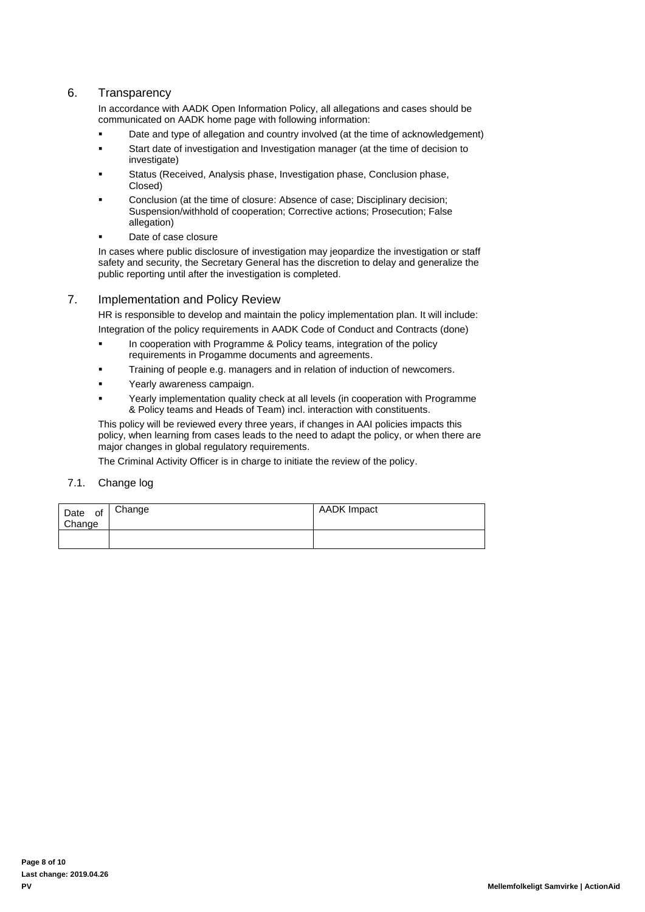## <span id="page-7-0"></span>6. Transparency

In accordance with AADK Open Information Policy, all allegations and cases should be communicated on AADK home page with following information:

- Date and type of allegation and country involved (at the time of acknowledgement)
- Start date of investigation and Investigation manager (at the time of decision to investigate)
- Status (Received, Analysis phase, Investigation phase, Conclusion phase, Closed)
- Conclusion (at the time of closure: Absence of case; Disciplinary decision; Suspension/withhold of cooperation; Corrective actions; Prosecution; False allegation)
- Date of case closure

In cases where public disclosure of investigation may jeopardize the investigation or staff safety and security, the Secretary General has the discretion to delay and generalize the public reporting until after the investigation is completed.

## <span id="page-7-1"></span>7. Implementation and Policy Review

HR is responsible to develop and maintain the policy implementation plan. It will include:

Integration of the policy requirements in AADK Code of Conduct and Contracts (done)

- In cooperation with Programme & Policy teams, integration of the policy requirements in Progamme documents and agreements.
- Training of people e.g. managers and in relation of induction of newcomers.
- **Yearly awareness campaign.**
- Yearly implementation quality check at all levels (in cooperation with Programme & Policy teams and Heads of Team) incl. interaction with constituents.

This policy will be reviewed every three years, if changes in AAI policies impacts this policy, when learning from cases leads to the need to adapt the policy, or when there are major changes in global regulatory requirements.

The Criminal Activity Officer is in charge to initiate the review of the policy.

## <span id="page-7-2"></span>7.1. Change log

<span id="page-7-3"></span>

| Date<br>of<br>Change | Change | AADK Impact |
|----------------------|--------|-------------|
|                      |        |             |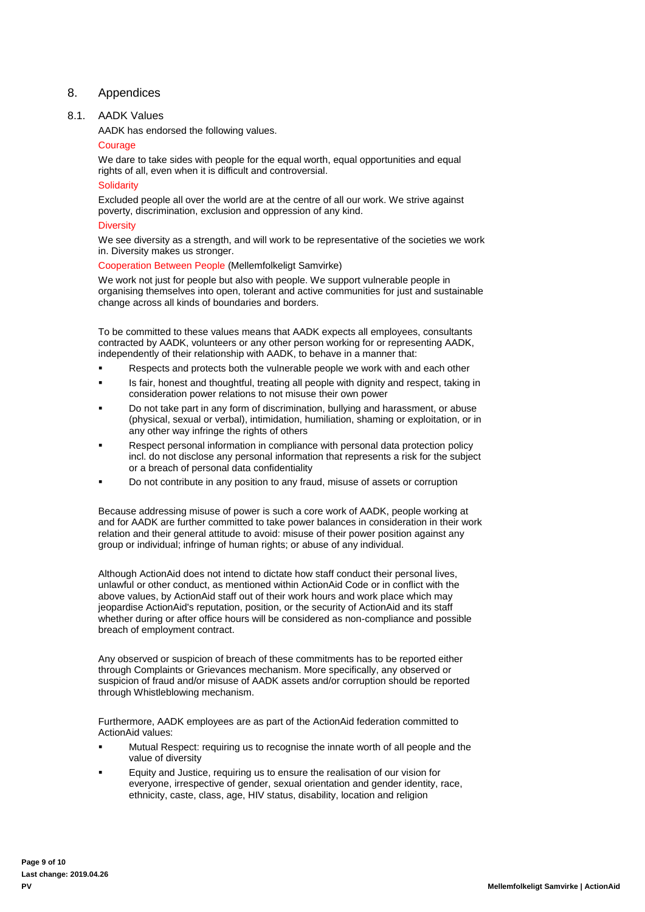## 8. Appendices

## <span id="page-8-0"></span>8.1. AADK Values

AADK has endorsed the following values.

#### Courage

We dare to take sides with people for the equal worth, equal opportunities and equal rights of all, even when it is difficult and controversial.

#### **Solidarity**

Excluded people all over the world are at the centre of all our work. We strive against poverty, discrimination, exclusion and oppression of any kind.

#### **Diversity**

We see diversity as a strength, and will work to be representative of the societies we work in. Diversity makes us stronger.

Cooperation Between People (Mellemfolkeligt Samvirke)

We work not just for people but also with people. We support vulnerable people in organising themselves into open, tolerant and active communities for just and sustainable change across all kinds of boundaries and borders.

To be committed to these values means that AADK expects all employees, consultants contracted by AADK, volunteers or any other person working for or representing AADK, independently of their relationship with AADK, to behave in a manner that:

- Respects and protects both the vulnerable people we work with and each other
- Is fair, honest and thoughtful, treating all people with dignity and respect, taking in consideration power relations to not misuse their own power
- Do not take part in any form of discrimination, bullying and harassment, or abuse (physical, sexual or verbal), intimidation, humiliation, shaming or exploitation, or in any other way infringe the rights of others
- Respect personal information in compliance with personal data protection policy incl. do not disclose any personal information that represents a risk for the subject or a breach of personal data confidentiality
- Do not contribute in any position to any fraud, misuse of assets or corruption

Because addressing misuse of power is such a core work of AADK, people working at and for AADK are further committed to take power balances in consideration in their work relation and their general attitude to avoid: misuse of their power position against any group or individual; infringe of human rights; or abuse of any individual.

Although ActionAid does not intend to dictate how staff conduct their personal lives, unlawful or other conduct, as mentioned within ActionAid Code or in conflict with the above values, by ActionAid staff out of their work hours and work place which may jeopardise ActionAid's reputation, position, or the security of ActionAid and its staff whether during or after office hours will be considered as non-compliance and possible breach of employment contract.

Any observed or suspicion of breach of these commitments has to be reported either through Complaints or Grievances mechanism. More specifically, any observed or suspicion of fraud and/or misuse of AADK assets and/or corruption should be reported through Whistleblowing mechanism.

Furthermore, AADK employees are as part of the ActionAid federation committed to ActionAid values:

- Mutual Respect: requiring us to recognise the innate worth of all people and the value of diversity
- Equity and Justice, requiring us to ensure the realisation of our vision for everyone, irrespective of gender, sexual orientation and gender identity, race, ethnicity, caste, class, age, HIV status, disability, location and religion